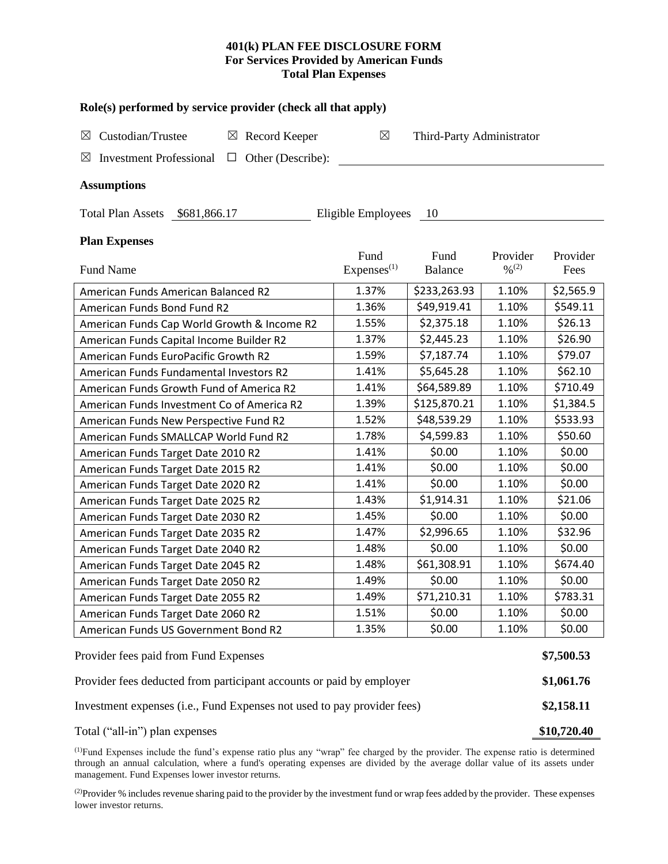# **401(k) PLAN FEE DISCLOSURE FORM For Services Provided by American Funds Total Plan Expenses**

| Role(s) performed by service provider (check all that apply)                 |                                          |              |                  |            |  |  |  |  |  |
|------------------------------------------------------------------------------|------------------------------------------|--------------|------------------|------------|--|--|--|--|--|
| Custodian/Trustee<br>$\boxtimes$ Record Keeper<br>$\boxtimes$                | $\boxtimes$<br>Third-Party Administrator |              |                  |            |  |  |  |  |  |
| $\boxtimes$<br><b>Investment Professional</b><br>Other (Describe):<br>$\Box$ |                                          |              |                  |            |  |  |  |  |  |
| <b>Assumptions</b>                                                           |                                          |              |                  |            |  |  |  |  |  |
| Eligible Employees<br>Total Plan Assets \$681,866.17<br>- 10                 |                                          |              |                  |            |  |  |  |  |  |
| <b>Plan Expenses</b>                                                         | Fund                                     | Fund         | Provider         | Provider   |  |  |  |  |  |
| <b>Fund Name</b>                                                             | Express <sup>(1)</sup>                   | Balance      | $\frac{9}{6}(2)$ | Fees       |  |  |  |  |  |
| American Funds American Balanced R2                                          | 1.37%                                    | \$233,263.93 | 1.10%            | \$2,565.9  |  |  |  |  |  |
| American Funds Bond Fund R2                                                  | 1.36%                                    | \$49,919.41  | 1.10%            | \$549.11   |  |  |  |  |  |
| American Funds Cap World Growth & Income R2                                  | 1.55%                                    | \$2,375.18   | 1.10%            | \$26.13    |  |  |  |  |  |
| American Funds Capital Income Builder R2                                     | 1.37%                                    | \$2,445.23   | 1.10%            | \$26.90    |  |  |  |  |  |
| American Funds EuroPacific Growth R2                                         | 1.59%                                    | \$7,187.74   | 1.10%            | \$79.07    |  |  |  |  |  |
| American Funds Fundamental Investors R2                                      | 1.41%                                    | \$5,645.28   | 1.10%            | \$62.10    |  |  |  |  |  |
| American Funds Growth Fund of America R2                                     | 1.41%                                    | \$64,589.89  | 1.10%            | \$710.49   |  |  |  |  |  |
| American Funds Investment Co of America R2                                   | 1.39%                                    | \$125,870.21 | 1.10%            | \$1,384.5  |  |  |  |  |  |
| American Funds New Perspective Fund R2                                       | 1.52%                                    | \$48,539.29  | 1.10%            | \$533.93   |  |  |  |  |  |
| American Funds SMALLCAP World Fund R2                                        | 1.78%                                    | \$4,599.83   | 1.10%            | \$50.60    |  |  |  |  |  |
| American Funds Target Date 2010 R2                                           | 1.41%                                    | \$0.00       | 1.10%            | \$0.00     |  |  |  |  |  |
| American Funds Target Date 2015 R2                                           | 1.41%                                    | \$0.00       | 1.10%            | \$0.00     |  |  |  |  |  |
| American Funds Target Date 2020 R2                                           | 1.41%                                    | \$0.00       | 1.10%            | \$0.00     |  |  |  |  |  |
| American Funds Target Date 2025 R2                                           | 1.43%                                    | \$1,914.31   | 1.10%            | \$21.06    |  |  |  |  |  |
| American Funds Target Date 2030 R2                                           | 1.45%                                    | \$0.00       | 1.10%            | \$0.00     |  |  |  |  |  |
| American Funds Target Date 2035 R2                                           | 1.47%                                    | \$2,996.65   | 1.10%            | \$32.96    |  |  |  |  |  |
| American Funds Target Date 2040 R2                                           | 1.48%                                    | \$0.00       | 1.10%            | \$0.00     |  |  |  |  |  |
| American Funds Target Date 2045 R2                                           | 1.48%                                    | \$61,308.91  | 1.10%            | \$674.40   |  |  |  |  |  |
| American Funds Target Date 2050 R2                                           | 1.49%                                    | \$0.00       | 1.10%            | \$0.00     |  |  |  |  |  |
| American Funds Target Date 2055 R2                                           | 1.49%                                    | \$71,210.31  | 1.10%            | \$783.31   |  |  |  |  |  |
| American Funds Target Date 2060 R2                                           | 1.51%                                    | \$0.00       | 1.10%            | \$0.00     |  |  |  |  |  |
| American Funds US Government Bond R2                                         | 1.35%                                    | \$0.00       | 1.10%            | \$0.00     |  |  |  |  |  |
| Provider fees paid from Fund Expenses                                        |                                          |              |                  | \$7,500.53 |  |  |  |  |  |
| Provider fees deducted from participant accounts or paid by employer         |                                          |              |                  |            |  |  |  |  |  |
| Investment expenses (i.e., Fund Expenses not used to pay provider fees)      |                                          |              |                  |            |  |  |  |  |  |

(1)Fund Expenses include the fund's expense ratio plus any "wrap" fee charged by the provider. The expense ratio is determined through an annual calculation, where a fund's operating expenses are divided by the average dollar value of its assets under management. Fund Expenses lower investor returns.

<sup>(2)</sup>Provider % includes revenue sharing paid to the provider by the investment fund or wrap fees added by the provider. These expenses lower investor returns.

Total ("all-in") plan expenses **\$10,720.40**